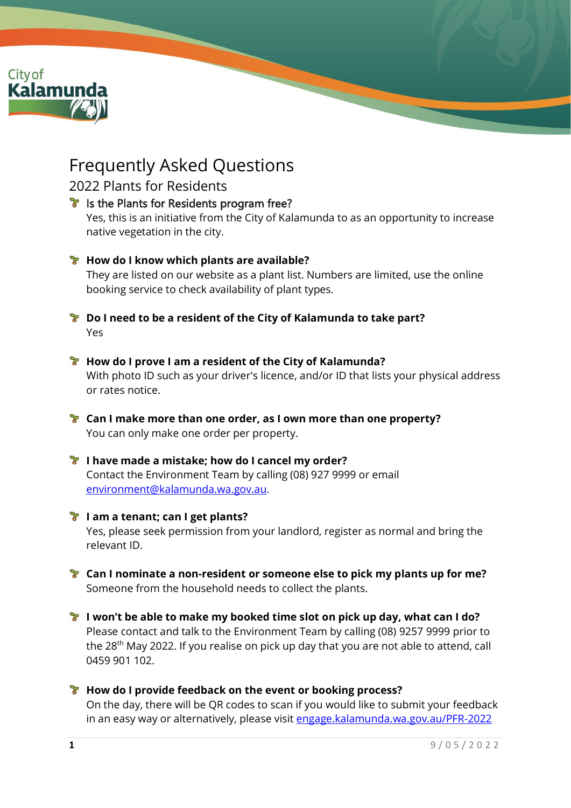

# Frequently Asked Questions

### 2022 Plants for Residents

## **Is the Plants for Residents program free?** Yes, this is an initiative from the City of Kalamunda to as an opportunity to increase native vegetation in the city. **How do I know which plants are available?** They are listed on our website as a plant list. Numbers are limited, use the online booking service to check availability of plant types. **Do I need to be a resident of the City of Kalamunda to take part?** Yes **How do I prove I am a resident of the City of Kalamunda?** With photo ID such as your driver's licence, and/or ID that lists your physical address or rates notice. **Can I make more than one order, as I own more than one property?** You can only make one order per property. **I have made a mistake; how do I cancel my order?**  Contact the Environment Team by calling (08) 927 9999 or email [environment@kalamunda.wa.gov.au](mailto:environment@kalamunda.wa.gov.au). **I am a tenant; can I get plants?** Yes, please seek permission from your landlord, register as normal and bring the relevant ID. **Can I nominate a non-resident or someone else to pick my plants up for me?** Someone from the household needs to collect the plants.

**I won't be able to make my booked time slot on pick up day, what can I do?** Please contact and talk to the Environment Team by calling (08) 9257 9999 prior to the 28<sup>th</sup> May 2022. If you realise on pick up day that you are not able to attend, call 0459 901 102.

#### **How do I provide feedback on the event or booking process?** On the day, there will be QR codes to scan if you would like to submit your feedback in an easy way or alternatively, please visit [engage.kalamunda.wa.gov.au/PFR-2022](http://www.engage.kalamunda.wa.gov.au/)